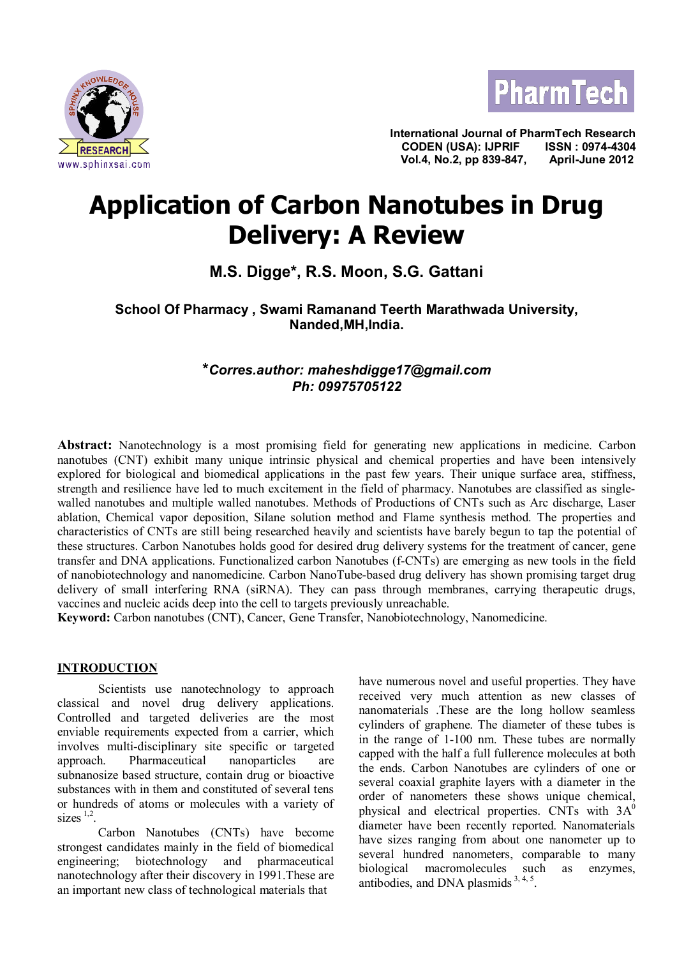



**International Journal of PharmTech Research CODEN (USA): IJPRIF ISSN : 0974-4304 Vol.4, No.2, pp 839-847, April-June 2012**

# **Application of Carbon Nanotubes in Drug Delivery: A Review**

## **M.S. Digge\*, R.S. Moon, S.G. Gattani**

**School Of Pharmacy , Swami Ramanand Teerth Marathwada University, Nanded,MH,India.**

## **\****Corres.author: maheshdigge17@gmail.com Ph: 09975705122*

**Abstract:** Nanotechnology is a most promising field for generating new applications in medicine. Carbon nanotubes (CNT) exhibit many unique intrinsic physical and chemical properties and have been intensively explored for biological and biomedical applications in the past few years. Their unique surface area, stiffness, strength and resilience have led to much excitement in the field of pharmacy. Nanotubes are classified as singlewalled nanotubes and multiple walled nanotubes. Methods of Productions of CNTs such as Arc discharge, Laser ablation, Chemical vapor deposition, Silane solution method and Flame synthesis method. The properties and characteristics of CNTs are still being researched heavily and scientists have barely begun to tap the potential of these structures. Carbon Nanotubes holds good for desired drug delivery systems for the treatment of cancer, gene transfer and DNA applications. Functionalized carbon Nanotubes (f-CNTs) are emerging as new tools in the field of nanobiotechnology and nanomedicine. Carbon NanoTube-based drug delivery has shown promising target drug delivery of small interfering RNA (siRNA). They can pass through membranes, carrying therapeutic drugs, vaccines and nucleic acids deep into the cell to targets previously unreachable.

**Keyword:** Carbon nanotubes (CNT), Cancer, Gene Transfer, Nanobiotechnology, Nanomedicine.

## **INTRODUCTION**

Scientists use nanotechnology to approach classical and novel drug delivery applications. Controlled and targeted deliveries are the most enviable requirements expected from a carrier, which involves multi-disciplinary site specific or targeted approach. Pharmaceutical nanoparticles are subnanosize based structure, contain drug or bioactive substances with in them and constituted of several tens or hundreds of atoms or molecules with a variety of sizes  $\frac{1}{2}$ .

Carbon Nanotubes (CNTs) have become strongest candidates mainly in the field of biomedical engineering; biotechnology and pharmaceutical nanotechnology after their discovery in 1991.These are an important new class of technological materials that

have numerous novel and useful properties. They have received very much attention as new classes of nanomaterials .These are the long hollow seamless cylinders of graphene. The diameter of these tubes is in the range of 1-100 nm. These tubes are normally capped with the half a full fullerence molecules at both the ends. Carbon Nanotubes are cylinders of one or several coaxial graphite layers with a diameter in the order of nanometers these shows unique chemical, physical and electrical properties. CNTs with  $3A^0$ diameter have been recently reported. Nanomaterials have sizes ranging from about one nanometer up to several hundred nanometers, comparable to many biological macromolecules such as enzymes, antibodies, and DNA plasmids  $3, 4, 5$ .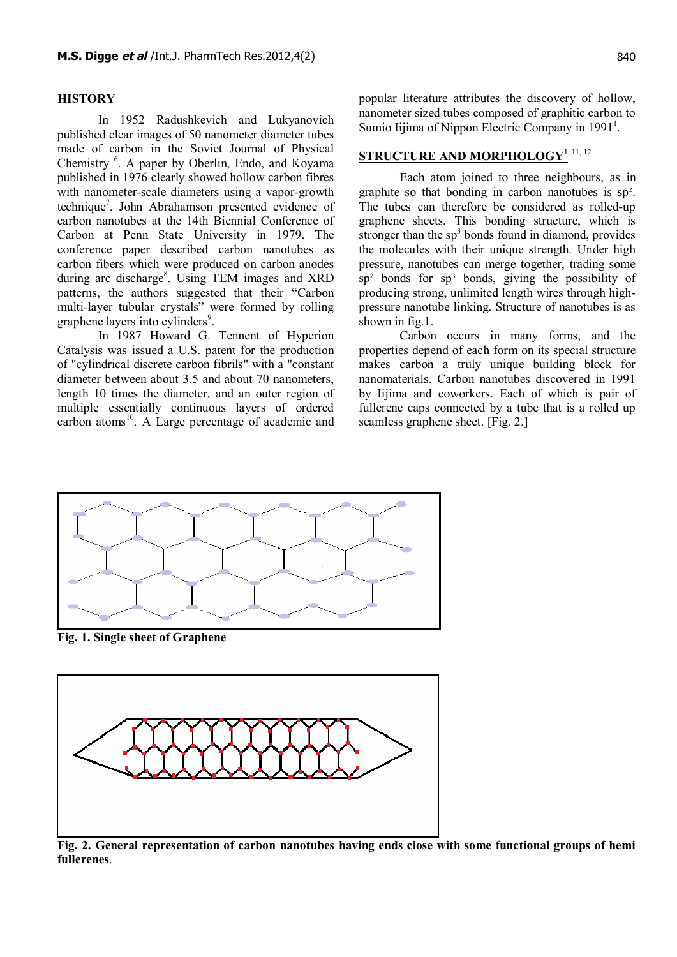## **HISTORY**

In 1952 Radushkevich and Lukyanovich published clear images of 50 nanometer diameter tubes made of carbon in the Soviet Journal of Physical Chemistry <sup>6</sup>. A paper by Oberlin, Endo, and Koyama published in 1976 clearly showed hollow carbon fibres with nanometer-scale diameters using a vapor-growth technique<sup>7</sup>. John Abrahamson presented evidence of carbon nanotubes at the 14th Biennial Conference of Carbon at Penn State University in 1979. The conference paper described carbon nanotubes as carbon fibers which were produced on carbon anodes during arc discharge<sup>8</sup>. Using TEM images and XRD patterns, the authors suggested that their "Carbon multi-layer tubular crystals" were formed by rolling graphene layers into cylinders<sup>9</sup>.

In 1987 Howard G. Tennent of Hyperion Catalysis was issued a U.S. patent for the production of "cylindrical discrete carbon fibrils" with a "constant diameter between about 3.5 and about 70 nanometers, length 10 times the diameter, and an outer region of multiple essentially continuous layers of ordered carbon atoms<sup>10</sup>. A Large percentage of academic and

popular literature attributes the discovery of hollow, nanometer sized tubes composed of graphitic carbon to Sumio Iijima of Nippon Electric Company in 1991<sup>1</sup>.

## **STRUCTURE AND MORPHOLOGY**1, 11, 12

Each atom joined to three neighbours, as in graphite so that bonding in carbon nanotubes is sp². The tubes can therefore be considered as rolled-up graphene sheets. This bonding structure, which is stronger than the  $sp<sup>3</sup>$  bonds found in diamond, provides the molecules with their unique strength. Under high pressure, nanotubes can merge together, trading some  $sp<sup>2</sup>$  bonds for  $sp<sup>3</sup>$  bonds, giving the possibility of producing strong, unlimited length wires through highpressure nanotube linking. Structure of nanotubes is as shown in fig.1.

Carbon occurs in many forms, and the properties depend of each form on its special structure makes carbon a truly unique building block for nanomaterials. Carbon nanotubes discovered in 1991 by Iijima and coworkers. Each of which is pair of fullerene caps connected by a tube that is a rolled up seamless graphene sheet. [Fig. 2.]



**Fig. 1. Single sheet of Graphene**



**Fig. 2. General representation of carbon nanotubes having ends close with some functional groups of hemi fullerenes**.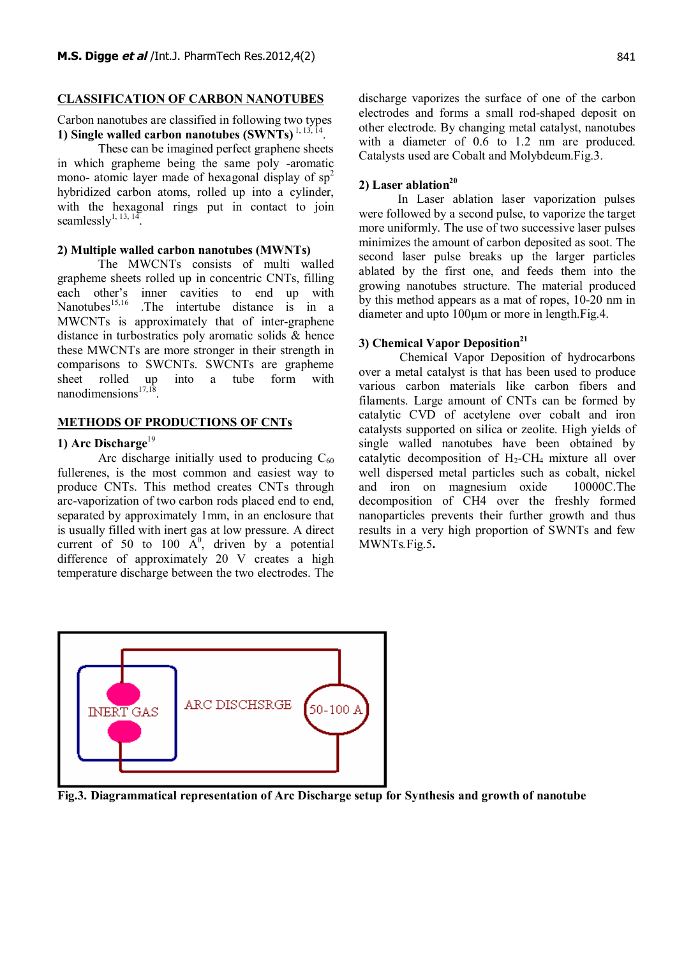## **CLASSIFICATION OF CARBON NANOTUBES**

Carbon nanotubes are classified in following two types **1) Single walled carbon nanotubes (SWNTs)** 1, 13, 14 .

These can be imagined perfect graphene sheets in which grapheme being the same poly -aromatic mono- atomic layer made of hexagonal display of  $sp<sup>2</sup>$ hybridized carbon atoms, rolled up into a cylinder, with the hexagonal rings put in contact to join seamlessly<sup>1, 13, 14</sup> .

#### **2) Multiple walled carbon nanotubes (MWNTs)**

The MWCNTs consists of multi walled grapheme sheets rolled up in concentric CNTs, filling each other's inner cavities to end up with<br>Nanotubes<sup>15,16</sup> The intertube distance is in a The intertube distance is in a MWCNTs is approximately that of inter-graphene distance in turbostratics poly aromatic solids & hence these MWCNTs are more stronger in their strength in comparisons to SWCNTs. SWCNTs are grapheme sheet rolled up into a tube form with nanodimensions $17,18$ .

#### **METHODS OF PRODUCTIONS OF CNTs**

## **1) Arc Discharge**<sup>19</sup>

Arc discharge initially used to producing  $C_{60}$ fullerenes, is the most common and easiest way to produce CNTs. This method creates CNTs through arc-vaporization of two carbon rods placed end to end, separated by approximately 1mm, in an enclosure that is usually filled with inert gas at low pressure. A direct current of 50 to 100  $A^0$ , driven by a potential difference of approximately 20 V creates a high temperature discharge between the two electrodes. The

discharge vaporizes the surface of one of the carbon electrodes and forms a small rod-shaped deposit on other electrode. By changing metal catalyst, nanotubes with a diameter of 0.6 to 1.2 nm are produced. Catalysts used are Cobalt and Molybdeum.Fig.3.

## **2) Laser ablation<sup>20</sup>**

 In Laser ablation laser vaporization pulses were followed by a second pulse, to vaporize the target more uniformly. The use of two successive laser pulses minimizes the amount of carbon deposited as soot. The second laser pulse breaks up the larger particles ablated by the first one, and feeds them into the growing nanotubes structure. The material produced by this method appears as a mat of ropes, 10-20 nm in diameter and upto 100μm or more in length.Fig.4.

## **3) Chemical Vapor Deposition<sup>21</sup>**

Chemical Vapor Deposition of hydrocarbons over a metal catalyst is that has been used to produce various carbon materials like carbon fibers and filaments. Large amount of CNTs can be formed by catalytic CVD of acetylene over cobalt and iron catalysts supported on silica or zeolite. High yields of single walled nanotubes have been obtained by catalytic decomposition of  $H_2$ -CH<sub>4</sub> mixture all over well dispersed metal particles such as cobalt, nickel and iron on magnesium oxide 10000C.The decomposition of CH4 over the freshly formed nanoparticles prevents their further growth and thus results in a very high proportion of SWNTs and few MWNTs*.*Fig.5**.**



**Fig.3. Diagrammatical representation of Arc Discharge setup for Synthesis and growth of nanotube**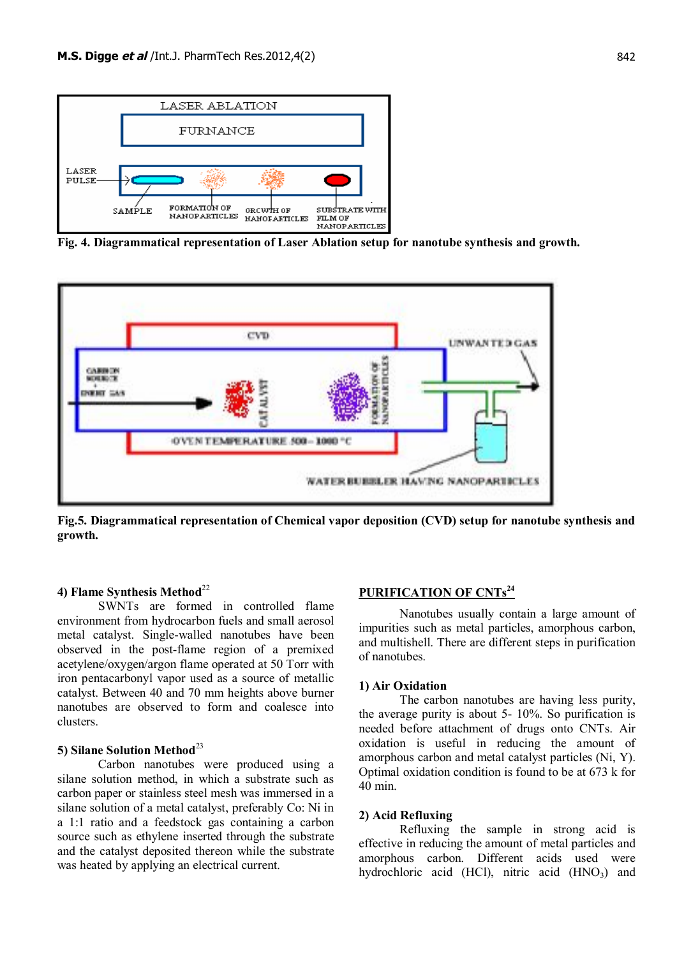

**Fig. 4. Diagrammatical representation of Laser Ablation setup for nanotube synthesis and growth.**



**Fig.5. Diagrammatical representation of Chemical vapor deposition (CVD) setup for nanotube synthesis and growth.**

## **4) Flame Synthesis Method**<sup>22</sup>

SWNTs are formed in controlled flame environment from hydrocarbon fuels and small aerosol metal catalyst. Single-walled nanotubes have been observed in the post-flame region of a premixed acetylene/oxygen/argon flame operated at 50 Torr with iron pentacarbonyl vapor used as a source of metallic catalyst. Between 40 and 70 mm heights above burner nanotubes are observed to form and coalesce into clusters.

## **5) Silane Solution Method**<sup>23</sup>

Carbon nanotubes were produced using a silane solution method, in which a substrate such as carbon paper or stainless steel mesh was immersed in a silane solution of a metal catalyst, preferably Co: Ni in a 1:1 ratio and a feedstock gas containing a carbon source such as ethylene inserted through the substrate and the catalyst deposited thereon while the substrate was heated by applying an electrical current.

## **PURIFICATION OF CNTs<sup>24</sup>**

Nanotubes usually contain a large amount of impurities such as metal particles, amorphous carbon, and multishell. There are different steps in purification of nanotubes.

## **1) Air Oxidation**

The carbon nanotubes are having less purity, the average purity is about 5- 10%. So purification is needed before attachment of drugs onto CNTs. Air oxidation is useful in reducing the amount of amorphous carbon and metal catalyst particles (Ni, Y). Optimal oxidation condition is found to be at 673 k for 40 min.

#### **2) Acid Refluxing**

Refluxing the sample in strong acid is effective in reducing the amount of metal particles and amorphous carbon. Different acids used were hydrochloric acid (HCl), nitric acid  $(HNO<sub>3</sub>)$  and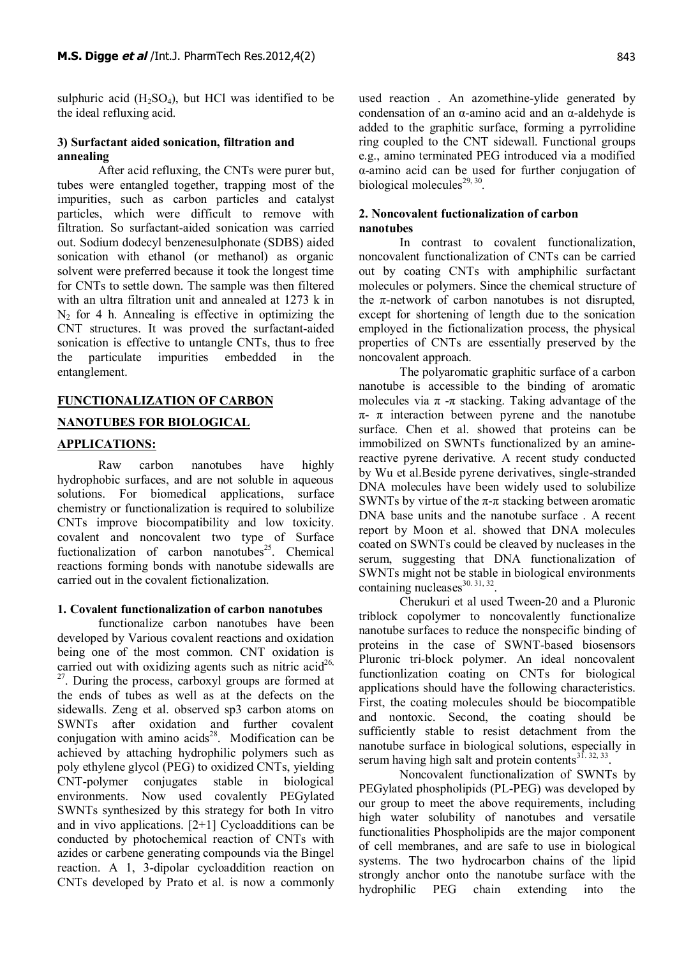sulphuric acid  $(H_2SO_4)$ , but HCl was identified to be the ideal refluxing acid.

## **3) Surfactant aided sonication, filtration and annealing**

After acid refluxing, the CNTs were purer but, tubes were entangled together, trapping most of the impurities, such as carbon particles and catalyst particles, which were difficult to remove with filtration. So surfactant-aided sonication was carried out. Sodium dodecyl benzenesulphonate (SDBS) aided sonication with ethanol (or methanol) as organic solvent were preferred because it took the longest time for CNTs to settle down. The sample was then filtered with an ultra filtration unit and annealed at 1273 k in  $N_2$  for 4 h. Annealing is effective in optimizing the CNT structures. It was proved the surfactant-aided sonication is effective to untangle CNTs, thus to free the particulate impurities embedded in the entanglement.

## **FUNCTIONALIZATION OF CARBON**

## **NANOTUBES FOR BIOLOGICAL**

## **APPLICATIONS:**

Raw carbon nanotubes have highly hydrophobic surfaces, and are not soluble in aqueous solutions. For biomedical applications, surface chemistry or functionalization is required to solubilize CNTs improve biocompatibility and low toxicity. covalent and noncovalent two type of Surface fuctionalization of carbon nanotubes<sup>25</sup>. Chemical reactions forming bonds with nanotube sidewalls are carried out in the covalent fictionalization.

## **1. Covalent functionalization of carbon nanotubes**

functionalize carbon nanotubes have been developed by Various covalent reactions and oxidation being one of the most common. CNT oxidation is carried out with oxidizing agents such as nitric acid<sup>26,</sup> <sup>27</sup>. During the process, carboxyl groups are formed at the ends of tubes as well as at the defects on the sidewalls. Zeng et al. observed sp3 carbon atoms on SWNTs after oxidation and further covalent conjugation with amino  $acids^{28}$ . Modification can be achieved by attaching hydrophilic polymers such as poly ethylene glycol (PEG) to oxidized CNTs, yielding CNT-polymer conjugates stable in biological environments. Now used covalently PEGylated SWNTs synthesized by this strategy for both In vitro and in vivo applications. [2+1] Cycloadditions can be conducted by photochemical reaction of CNTs with azides or carbene generating compounds via the Bingel reaction. A 1, 3-dipolar cycloaddition reaction on CNTs developed by Prato et al. is now a commonly

used reaction . An azomethine-ylide generated by condensation of an α-amino acid and an α-aldehyde is added to the graphitic surface, forming a pyrrolidine ring coupled to the CNT sidewall. Functional groups e.g., amino terminated PEG introduced via a modified α-amino acid can be used for further conjugation of biological molecules<sup>29, 30</sup>.

## **2. Noncovalent fuctionalization of carbon nanotubes**

In contrast to covalent functionalization, noncovalent functionalization of CNTs can be carried out by coating CNTs with amphiphilic surfactant molecules or polymers. Since the chemical structure of the  $\pi$ -network of carbon nanotubes is not disrupted, except for shortening of length due to the sonication employed in the fictionalization process, the physical properties of CNTs are essentially preserved by the noncovalent approach.

The polyaromatic graphitic surface of a carbon nanotube is accessible to the binding of aromatic molecules via  $\pi$  - $\pi$  stacking. Taking advantage of the  $\pi$ -  $\pi$  interaction between pyrene and the nanotube surface. Chen et al. showed that proteins can be immobilized on SWNTs functionalized by an aminereactive pyrene derivative. A recent study conducted by Wu et al.Beside pyrene derivatives, single-stranded DNA molecules have been widely used to solubilize SWNTs by virtue of the  $\pi$ - $\pi$  stacking between aromatic DNA base units and the nanotube surface . A recent report by Moon et al. showed that DNA molecules coated on SWNTs could be cleaved by nucleases in the serum, suggesting that DNA functionalization of SWNTs might not be stable in biological environments containing nucleases $30.31, 32$ .

Cherukuri et al used Tween-20 and a Pluronic triblock copolymer to noncovalently functionalize nanotube surfaces to reduce the nonspecific binding of proteins in the case of SWNT-based biosensors Pluronic tri-block polymer. An ideal noncovalent functionlization coating on CNTs for biological applications should have the following characteristics. First, the coating molecules should be biocompatible and nontoxic. Second, the coating should be sufficiently stable to resist detachment from the nanotube surface in biological solutions, especially in serum having high salt and protein contents $3^{\overline{1}, 32, 33}$ .

Noncovalent functionalization of SWNTs by PEGylated phospholipids (PL-PEG) was developed by our group to meet the above requirements, including high water solubility of nanotubes and versatile functionalities Phospholipids are the major component of cell membranes, and are safe to use in biological systems. The two hydrocarbon chains of the lipid strongly anchor onto the nanotube surface with the hydrophilic PEG chain extending into the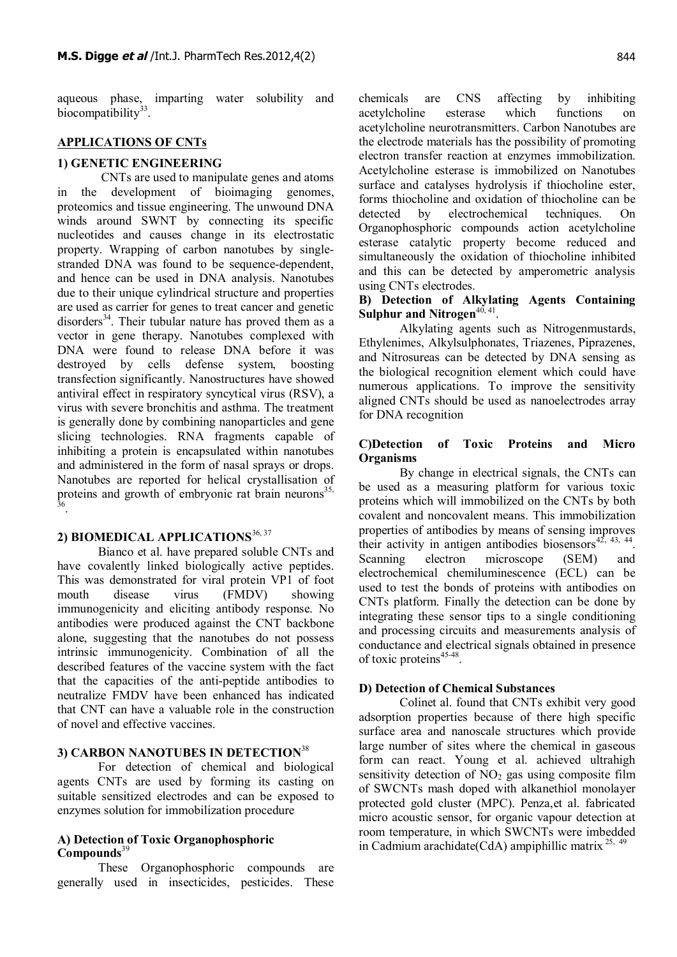aqueous phase, imparting water solubility and biocompatibility<sup>33</sup>.

## **APPLICATIONS OF CNTs**

#### **1) GENETIC ENGINEERING**

 CNTs are used to manipulate genes and atoms in the development of bioimaging genomes, proteomics and tissue engineering. The unwound DNA winds around SWNT by connecting its specific nucleotides and causes change in its electrostatic property. Wrapping of carbon nanotubes by singlestranded DNA was found to be sequence-dependent, and hence can be used in DNA analysis. Nanotubes due to their unique cylindrical structure and properties are used as carrier for genes to treat cancer and genetic disorders<sup>34</sup>. Their tubular nature has proved them as a vector in gene therapy. Nanotubes complexed with DNA were found to release DNA before it was destroyed by cells defense system, boosting transfection significantly. Nanostructures have showed antiviral effect in respiratory syncytical virus (RSV), a virus with severe bronchitis and asthma. The treatment is generally done by combining nanoparticles and gene slicing technologies. RNA fragments capable of inhibiting a protein is encapsulated within nanotubes and administered in the form of nasal sprays or drops. Nanotubes are reported for helical crystallisation of proteins and growth of embryonic rat brain neurons<sup>35, 36</sup>.

## **2) BIOMEDICAL APPLICATIONS**36, 37

Bianco et al. have prepared soluble CNTs and have covalently linked biologically active peptides. This was demonstrated for viral protein VP1 of foot mouth disease virus (FMDV) showing immunogenicity and eliciting antibody response. No antibodies were produced against the CNT backbone alone, suggesting that the nanotubes do not possess intrinsic immunogenicity. Combination of all the described features of the vaccine system with the fact that the capacities of the anti-peptide antibodies to neutralize FMDV have been enhanced has indicated that CNT can have a valuable role in the construction of novel and effective vaccines.

## **3) CARBON NANOTUBES IN DETECTION**<sup>38</sup>

For detection of chemical and biological agents CNTs are used by forming its casting on suitable sensitized electrodes and can be exposed to enzymes solution for immobilization procedure

## **A) Detection of Toxic Organophosphoric Compounds**<sup>39</sup>

These Organophosphoric compounds are generally used in insecticides, pesticides. These chemicals are CNS affecting by inhibiting acetylcholine esterase which functions on acetylcholine neurotransmitters. Carbon Nanotubes are the electrode materials has the possibility of promoting electron transfer reaction at enzymes immobilization. Acetylcholine esterase is immobilized on Nanotubes surface and catalyses hydrolysis if thiocholine ester, forms thiocholine and oxidation of thiocholine can be detected by electrochemical techniques. On Organophosphoric compounds action acetylcholine esterase catalytic property become reduced and simultaneously the oxidation of thiocholine inhibited and this can be detected by amperometric analysis using CNTs electrodes.

## **B) Detection of Alkylating Agents Containing** Sulphur and Nitrogen<sup>40, 41</sup>.

Alkylating agents such as Nitrogenmustards, Ethylenimes, Alkylsulphonates, Triazenes, Piprazenes, and Nitrosureas can be detected by DNA sensing as the biological recognition element which could have numerous applications. To improve the sensitivity aligned CNTs should be used as nanoelectrodes array for DNA recognition

## **C)Detection of Toxic Proteins and Micro Organisms**

By change in electrical signals, the CNTs can be used as a measuring platform for various toxic proteins which will immobilized on the CNTs by both covalent and noncovalent means. This immobilization properties of antibodies by means of sensing improves their activity in antigen antibodies biosensors $42, 43, 44$ . Scanning electron microscope (SEM) and electrochemical chemiluminescence (ECL) can be used to test the bonds of proteins with antibodies on CNTs platform. Finally the detection can be done by integrating these sensor tips to a single conditioning and processing circuits and measurements analysis of conductance and electrical signals obtained in presence of toxic proteins<sup>45-48</sup>.

#### **D) Detection of Chemical Substances**

Colinet al. found that CNTs exhibit very good adsorption properties because of there high specific surface area and nanoscale structures which provide large number of sites where the chemical in gaseous form can react. Young et al. achieved ultrahigh sensitivity detection of  $NO<sub>2</sub>$  gas using composite film of SWCNTs mash doped with alkanethiol monolayer protected gold cluster (MPC). Penza,et al. fabricated micro acoustic sensor, for organic vapour detection at room temperature, in which SWCNTs were imbedded in Cadmium arachidate(CdA) ampiphillic matrix  $^{25,49}$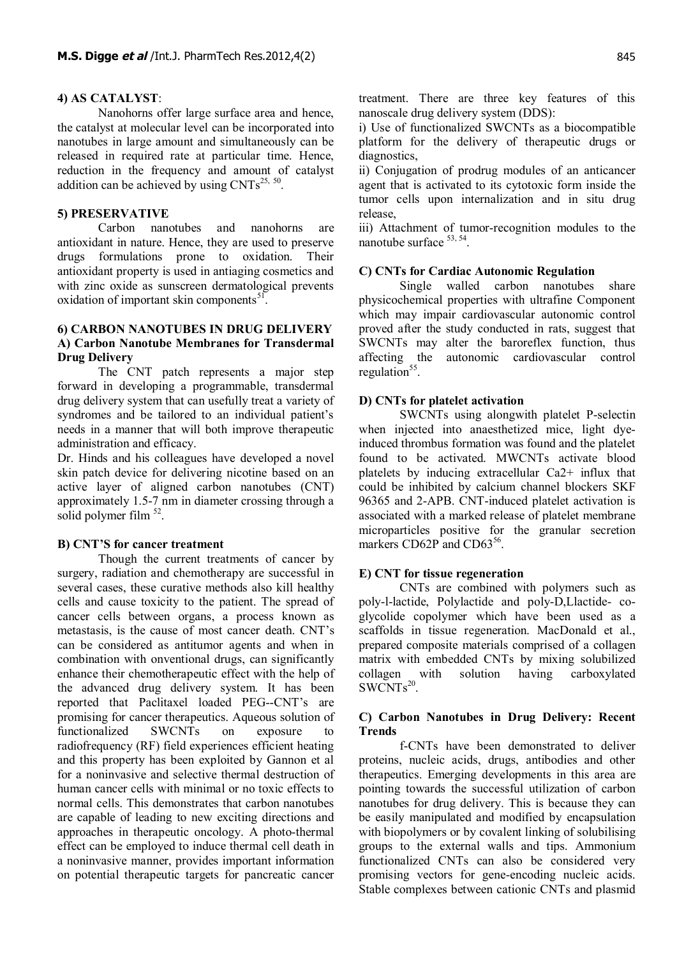#### **4) AS CATALYST**:

Nanohorns offer large surface area and hence, the catalyst at molecular level can be incorporated into nanotubes in large amount and simultaneously can be released in required rate at particular time. Hence, reduction in the frequency and amount of catalyst addition can be achieved by using  $CNTs^{25, 50}$ .

#### **5) PRESERVATIVE**

Carbon nanotubes and nanohorns are antioxidant in nature. Hence, they are used to preserve drugs formulations prone to oxidation. Their antioxidant property is used in antiaging cosmetics and with zinc oxide as sunscreen dermatological prevents oxidation of important skin components<sup>51</sup>.

## **6) CARBON NANOTUBES IN DRUG DELIVERY A) Carbon Nanotube Membranes for Transdermal Drug Delivery**

The CNT patch represents a major step forward in developing a programmable, transdermal drug delivery system that can usefully treat a variety of syndromes and be tailored to an individual patient's needs in a manner that will both improve therapeutic administration and efficacy.

Dr. Hinds and his colleagues have developed a novel skin patch device for delivering nicotine based on an active layer of aligned carbon nanotubes (CNT) approximately 1.5-7 nm in diameter crossing through a solid polymer film  $52$ .

#### **B) CNT'S for cancer treatment**

Though the current treatments of cancer by surgery, radiation and chemotherapy are successful in several cases, these curative methods also kill healthy cells and cause toxicity to the patient. The spread of cancer cells between organs, a process known as metastasis, is the cause of most cancer death. CNT's can be considered as antitumor agents and when in combination with onventional drugs, can significantly enhance their chemotherapeutic effect with the help of the advanced drug delivery system. It has been reported that Paclitaxel loaded PEG--CNT's are promising for cancer therapeutics. Aqueous solution of functionalized SWCNTs on exposure to radiofrequency (RF) field experiences efficient heating and this property has been exploited by Gannon et al for a noninvasive and selective thermal destruction of human cancer cells with minimal or no toxic effects to normal cells. This demonstrates that carbon nanotubes are capable of leading to new exciting directions and approaches in therapeutic oncology. A photo-thermal effect can be employed to induce thermal cell death in a noninvasive manner, provides important information on potential therapeutic targets for pancreatic cancer

treatment. There are three key features of this nanoscale drug delivery system (DDS):

i) Use of functionalized SWCNTs as a biocompatible platform for the delivery of therapeutic drugs or diagnostics,

ii) Conjugation of prodrug modules of an anticancer agent that is activated to its cytotoxic form inside the tumor cells upon internalization and in situ drug release,

iii) Attachment of tumor-recognition modules to the nanotube surface <sup>53, 54</sup>.

## **C) CNTs for Cardiac Autonomic Regulation**

Single walled carbon nanotubes share physicochemical properties with ultrafine Component which may impair cardiovascular autonomic control proved after the study conducted in rats, suggest that SWCNTs may alter the baroreflex function, thus affecting the autonomic cardiovascular control regulation<sup>55</sup>.

#### **D) CNTs for platelet activation**

SWCNTs using alongwith platelet P-selectin when injected into anaesthetized mice, light dyeinduced thrombus formation was found and the platelet found to be activated. MWCNTs activate blood platelets by inducing extracellular Ca2+ influx that could be inhibited by calcium channel blockers SKF 96365 and 2-APB. CNT-induced platelet activation is associated with a marked release of platelet membrane microparticles positive for the granular secretion markers CD62P and CD63<sup>56</sup>.

#### **E) CNT for tissue regeneration**

CNTs are combined with polymers such as poly-l-lactide, Polylactide and poly-D,Llactide- coglycolide copolymer which have been used as a scaffolds in tissue regeneration. MacDonald et al., prepared composite materials comprised of a collagen matrix with embedded CNTs by mixing solubilized collagen with solution having carboxylated SWCNTs<sup>20</sup>.

## **C) Carbon Nanotubes in Drug Delivery: Recent Trends**

f-CNTs have been demonstrated to deliver proteins, nucleic acids, drugs, antibodies and other therapeutics. Emerging developments in this area are pointing towards the successful utilization of carbon nanotubes for drug delivery. This is because they can be easily manipulated and modified by encapsulation with biopolymers or by covalent linking of solubilising groups to the external walls and tips. Ammonium functionalized CNTs can also be considered very promising vectors for gene-encoding nucleic acids. Stable complexes between cationic CNTs and plasmid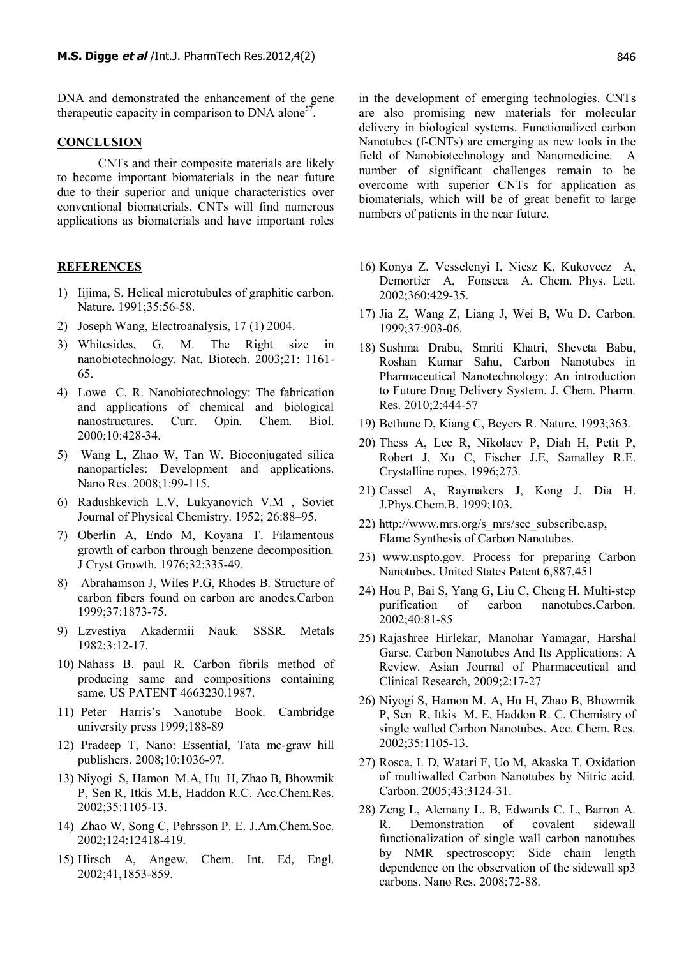DNA and demonstrated the enhancement of the gene therapeutic capacity in comparison to DNA alone<sup>57</sup>.

## **CONCLUSION**

CNTs and their composite materials are likely to become important biomaterials in the near future due to their superior and unique characteristics over conventional biomaterials. CNTs will find numerous applications as biomaterials and have important roles

### **REFERENCES**

- 1) Iijima, S. Helical microtubules of graphitic carbon. Nature. 1991;35:56-58.
- 2) Joseph Wang, Electroanalysis, 17 (1) 2004.
- 3) Whitesides, G. M. The Right size in nanobiotechnology. Nat. Biotech. 2003;21: 1161- 65.
- 4) Lowe C. R. Nanobiotechnology: The fabrication and applications of chemical and biological nanostructures. Curr. Opin. Chem. Biol. 2000;10:428-34.
- 5) Wang L, Zhao W, Tan W. Bioconjugated silica nanoparticles: Development and applications. Nano Res. 2008;1:99-115.
- 6) Radushkevich L.V, Lukyanovich V.M , Soviet Journal of Physical Chemistry. 1952; 26:88–95.
- 7) Oberlin A, Endo M, Koyana T. Filamentous growth of carbon through benzene decomposition. J Cryst Growth. 1976;32:335-49.
- 8) Abrahamson J, Wiles P.G, Rhodes B. Structure of carbon fibers found on carbon arc anodes.Carbon 1999;37:1873-75.
- 9) Lzvestiya Akadermii Nauk. SSSR. Metals 1982;3:12-17.
- 10) Nahass B. paul R. Carbon fibrils method of producing same and compositions containing same. US PATENT 4663230.1987.
- 11) Peter Harris's Nanotube Book. Cambridge university press 1999;188-89
- 12) Pradeep T, Nano: Essential, Tata mc-graw hill publishers. 2008;10:1036-97.
- 13) Niyogi S, Hamon M.A, Hu H, Zhao B, Bhowmik P, Sen R, Itkis M.E, Haddon R.C. Acc.Chem.Res. 2002;35:1105-13.
- 14) Zhao W, Song C, Pehrsson P. E. J.Am.Chem.Soc. 2002;124:12418-419.
- 15) Hirsch A, Angew. Chem. Int. Ed, Engl. 2002;41,1853-859.

in the development of emerging technologies. CNTs are also promising new materials for molecular delivery in biological systems. Functionalized carbon Nanotubes (f-CNTs) are emerging as new tools in the field of Nanobiotechnology and Nanomedicine. A number of significant challenges remain to be overcome with superior CNTs for application as biomaterials, which will be of great benefit to large numbers of patients in the near future.

- 16) Konya Z, Vesselenyi I, Niesz K, Kukovecz A, Demortier A, Fonseca A. Chem. Phys. Lett. 2002;360:429-35.
- 17) Jia Z, Wang Z, Liang J, Wei B, Wu D. Carbon. 1999;37:903-06.
- 18) Sushma Drabu, Smriti Khatri, Sheveta Babu, Roshan Kumar Sahu, Carbon Nanotubes in Pharmaceutical Nanotechnology: An introduction to Future Drug Delivery System. J. Chem. Pharm. Res. 2010;2:444-57
- 19) Bethune D, Kiang C, Beyers R. Nature, 1993;363.
- 20) Thess A, Lee R, Nikolaev P, Diah H, Petit P, Robert J, Xu C, Fischer J.E, Samalley R.E. Crystalline ropes. 1996;273.
- 21) Cassel A, Raymakers J, Kong J, Dia H. J.Phys.Chem.B. 1999;103.
- 22) [http://www.mrs.org/s\\_mrs/sec\\_subscribe.asp,](http://www.mrs.org/s_mrs/sec_subscribe.asp) Flame Synthesis of Carbon Nanotubes.
- 23) www.uspto.gov. Process for preparing Carbon Nanotubes. United States Patent 6,887,451
- 24) Hou P, Bai S, Yang G, Liu C, Cheng H. Multi-step purification of carbon nanotubes.Carbon. 2002;40:81-85
- 25) Rajashree Hirlekar, Manohar Yamagar, Harshal Garse. Carbon Nanotubes And Its Applications: A Review. Asian Journal of Pharmaceutical and Clinical Research, 2009;2:17-27
- 26) Niyogi S, Hamon M. A, Hu H, Zhao B, Bhowmik P, Sen R, Itkis M. E, Haddon R. C. Chemistry of single walled Carbon Nanotubes. Acc. Chem. Res. 2002;35:1105-13.
- 27) Rosca, I. D, Watari F, Uo M, Akaska T. Oxidation of multiwalled Carbon Nanotubes by Nitric acid. Carbon. 2005;43:3124-31.
- 28) Zeng L, Alemany L. B, Edwards C. L, Barron A. R. Demonstration of covalent sidewall functionalization of single wall carbon nanotubes by NMR spectroscopy: Side chain length dependence on the observation of the sidewall sp3 carbons. Nano Res. 2008;72-88.